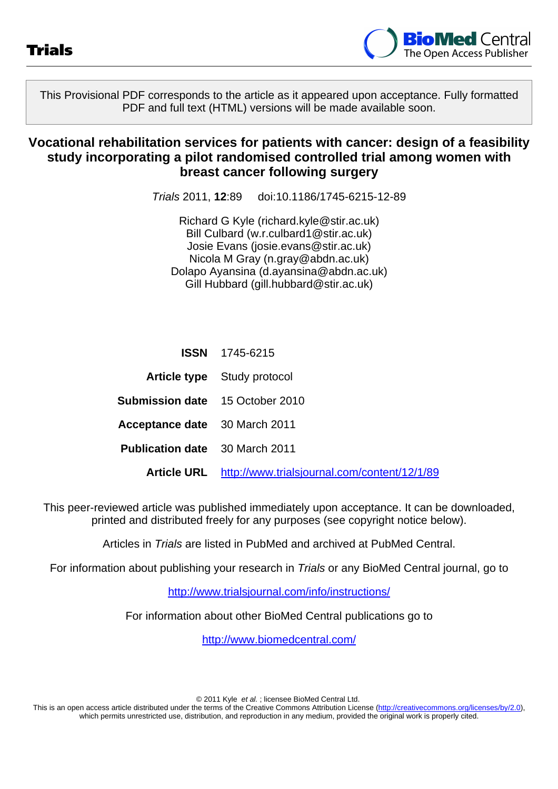

This Provisional PDF corresponds to the article as it appeared upon acceptance. Fully formatted PDF and full text (HTML) versions will be made available soon.

# **Vocational rehabilitation services for patients with cancer: design of a feasibility study incorporating a pilot randomised controlled trial among women with breast cancer following surgery**

Trials 2011, **12**:89 doi:10.1186/1745-6215-12-89

Richard G Kyle ([richard.kyle@stir.ac.uk](mailto:richard.kyle@stir.ac.uk)) Bill Culbard [\(w.r.culbard1@stir.ac.uk\)](mailto:w.r.culbard1@stir.ac.uk) Josie Evans ([josie.evans@stir.ac.uk\)](mailto:josie.evans@stir.ac.uk) Nicola M Gray [\(n.gray@abdn.ac.uk](mailto:n.gray@abdn.ac.uk)) Dolapo Ayansina [\(d.ayansina@abdn.ac.uk](mailto:d.ayansina@abdn.ac.uk)) Gill Hubbard ([gill.hubbard@stir.ac.uk\)](mailto:gill.hubbard@stir.ac.uk)

|                                        | <b>ISSN</b> 1745-6215                                    |
|----------------------------------------|----------------------------------------------------------|
|                                        | <b>Article type</b> Study protocol                       |
| <b>Submission date</b> 15 October 2010 |                                                          |
| Acceptance date 30 March 2011          |                                                          |
| <b>Publication date</b> 30 March 2011  |                                                          |
|                                        | Article URL http://www.trialsjournal.com/content/12/1/89 |

This peer-reviewed article was published immediately upon acceptance. It can be downloaded, printed and distributed freely for any purposes (see copyright notice below).

Articles in Trials are listed in PubMed and archived at PubMed Central.

For information about publishing your research in Trials or any BioMed Central journal, go to

<http://www.trialsjournal.com/info/instructions/>

For information about other BioMed Central publications go to

<http://www.biomedcentral.com/>

© 2011 Kyle et al. ; licensee BioMed Central Ltd.

This is an open access article distributed under the terms of the Creative Commons Attribution License [\(http://creativecommons.org/licenses/by/2.0](http://creativecommons.org/licenses/by/2.0)), which permits unrestricted use, distribution, and reproduction in any medium, provided the original work is properly cited.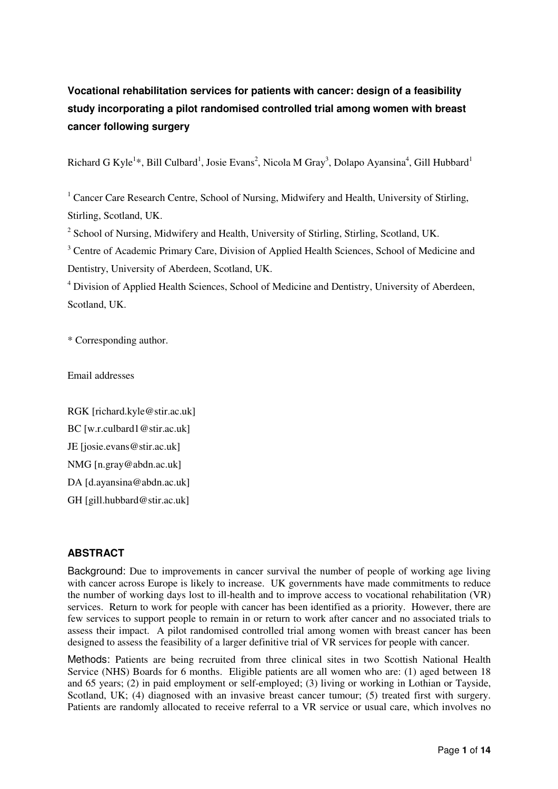# **Vocational rehabilitation services for patients with cancer: design of a feasibility study incorporating a pilot randomised controlled trial among women with breast cancer following surgery**

Richard G Kyle<sup>1\*</sup>, Bill Culbard<sup>1</sup>, Josie Evans<sup>2</sup>, Nicola M Gray<sup>3</sup>, Dolapo Ayansina<sup>4</sup>, Gill Hubbard<sup>1</sup>

<sup>1</sup> Cancer Care Research Centre, School of Nursing, Midwifery and Health, University of Stirling, Stirling, Scotland, UK.

<sup>2</sup> School of Nursing, Midwifery and Health, University of Stirling, Stirling, Scotland, UK.

<sup>3</sup> Centre of Academic Primary Care, Division of Applied Health Sciences, School of Medicine and Dentistry, University of Aberdeen, Scotland, UK.

<sup>4</sup> Division of Applied Health Sciences, School of Medicine and Dentistry, University of Aberdeen, Scotland, UK.

\* Corresponding author.

Email addresses

RGK [richard.kyle@stir.ac.uk] BC [w.r.culbard1@stir.ac.uk] JE [josie.evans@stir.ac.uk] NMG [n.gray@abdn.ac.uk] DA [d.ayansina@abdn.ac.uk] GH [gill.hubbard@stir.ac.uk]

### **ABSTRACT**

Background: Due to improvements in cancer survival the number of people of working age living with cancer across Europe is likely to increase. UK governments have made commitments to reduce the number of working days lost to ill-health and to improve access to vocational rehabilitation (VR) services. Return to work for people with cancer has been identified as a priority. However, there are few services to support people to remain in or return to work after cancer and no associated trials to assess their impact. A pilot randomised controlled trial among women with breast cancer has been designed to assess the feasibility of a larger definitive trial of VR services for people with cancer.

Methods: Patients are being recruited from three clinical sites in two Scottish National Health Service (NHS) Boards for 6 months. Eligible patients are all women who are: (1) aged between 18 and 65 years; (2) in paid employment or self-employed; (3) living or working in Lothian or Tayside, Scotland, UK; (4) diagnosed with an invasive breast cancer tumour; (5) treated first with surgery. Patients are randomly allocated to receive referral to a VR service or usual care, which involves no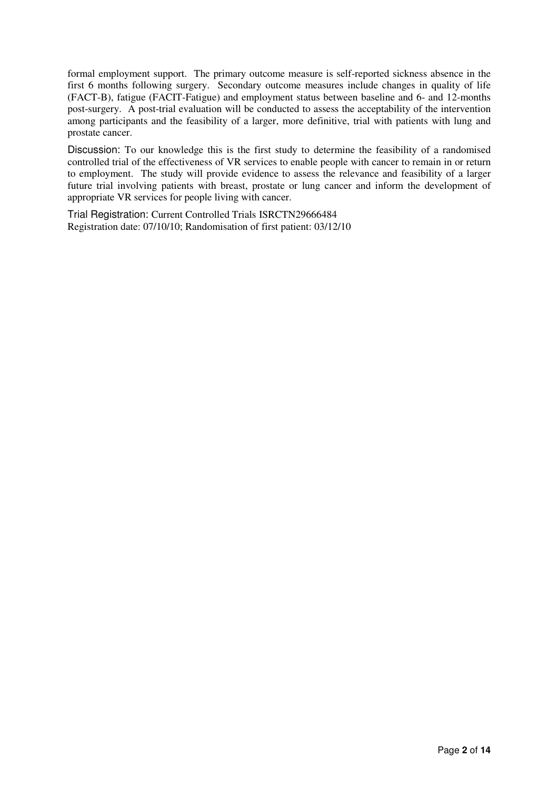formal employment support. The primary outcome measure is self-reported sickness absence in the first 6 months following surgery. Secondary outcome measures include changes in quality of life (FACT-B), fatigue (FACIT-Fatigue) and employment status between baseline and 6- and 12-months post-surgery. A post-trial evaluation will be conducted to assess the acceptability of the intervention among participants and the feasibility of a larger, more definitive, trial with patients with lung and prostate cancer.

Discussion: To our knowledge this is the first study to determine the feasibility of a randomised controlled trial of the effectiveness of VR services to enable people with cancer to remain in or return to employment. The study will provide evidence to assess the relevance and feasibility of a larger future trial involving patients with breast, prostate or lung cancer and inform the development of appropriate VR services for people living with cancer.

Trial Registration: Current Controlled Trials ISRCTN29666484 Registration date: 07/10/10; Randomisation of first patient: 03/12/10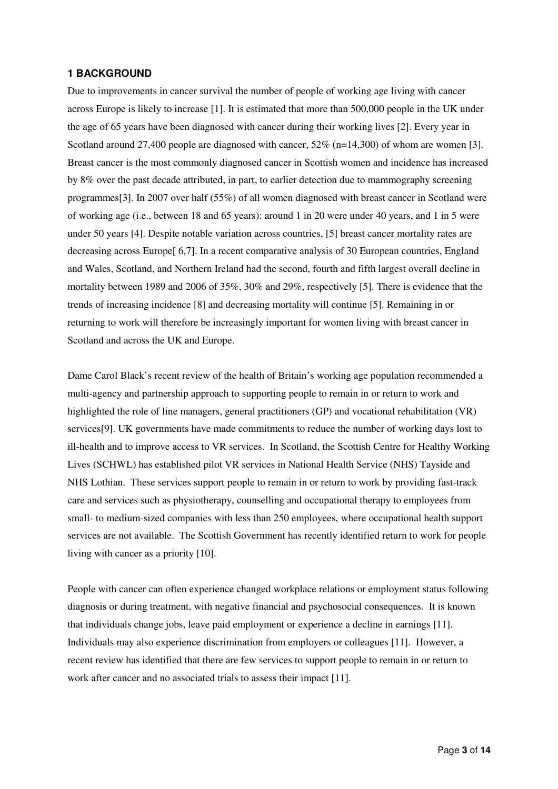### **1 BACKGROUND**

Due to improvements in cancer survival the number of people of working age living with cancer across Europe is likely to increase [1]. It is estimated that more than 500,000 people in the UK under the age of 65 years have been diagnosed with cancer during their working lives [2]. Every year in Scotland around 27,400 people are diagnosed with cancer,  $52\%$  (n=14,300) of whom are women [3]. Breast cancer is the most commonly diagnosed cancer in Scottish women and incidence has increased by 8% over the past decade attributed, in part, to earlier detection due to mammography screening programmes[3]. In 2007 over half (55%) of all women diagnosed with breast cancer in Scotland were of working age (i.e., between 18 and 65 years): around 1 in 20 were under 40 years, and 1 in 5 were under 50 years [4]. Despite notable variation across countries, [5] breast cancer mortality rates are decreasing across Europe[ 6,7]. In a recent comparative analysis of 30 European countries, England and Wales, Scotland, and Northern Ireland had the second, fourth and fifth largest overall decline in mortality between 1989 and 2006 of 35%, 30% and 29%, respectively [5]. There is evidence that the trends of increasing incidence [8] and decreasing mortality will continue [5]. Remaining in or returning to work will therefore be increasingly important for women living with breast cancer in Scotland and across the UK and Europe.

Dame Carol Black's recent review of the health of Britain's working age population recommended a multi-agency and partnership approach to supporting people to remain in or return to work and highlighted the role of line managers, general practitioners (GP) and vocational rehabilitation (VR) services[9]. UK governments have made commitments to reduce the number of working days lost to ill-health and to improve access to VR services. In Scotland, the Scottish Centre for Healthy Working Lives (SCHWL) has established pilot VR services in National Health Service (NHS) Tayside and NHS Lothian. These services support people to remain in or return to work by providing fast-track care and services such as physiotherapy, counselling and occupational therapy to employees from small- to medium-sized companies with less than 250 employees, where occupational health support services are not available. The Scottish Government has recently identified return to work for people living with cancer as a priority [10].

People with cancer can often experience changed workplace relations or employment status following diagnosis or during treatment, with negative financial and psychosocial consequences. It is known that individuals change jobs, leave paid employment or experience a decline in earnings [11]. Individuals may also experience discrimination from employers or colleagues [11]. However, a recent review has identified that there are few services to support people to remain in or return to work after cancer and no associated trials to assess their impact [11].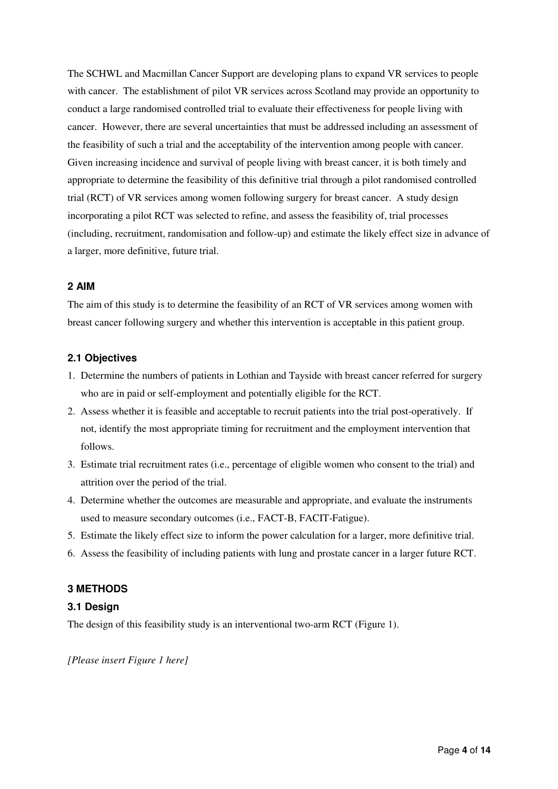The SCHWL and Macmillan Cancer Support are developing plans to expand VR services to people with cancer. The establishment of pilot VR services across Scotland may provide an opportunity to conduct a large randomised controlled trial to evaluate their effectiveness for people living with cancer. However, there are several uncertainties that must be addressed including an assessment of the feasibility of such a trial and the acceptability of the intervention among people with cancer. Given increasing incidence and survival of people living with breast cancer, it is both timely and appropriate to determine the feasibility of this definitive trial through a pilot randomised controlled trial (RCT) of VR services among women following surgery for breast cancer. A study design incorporating a pilot RCT was selected to refine, and assess the feasibility of, trial processes (including, recruitment, randomisation and follow-up) and estimate the likely effect size in advance of a larger, more definitive, future trial.

### **2 AIM**

The aim of this study is to determine the feasibility of an RCT of VR services among women with breast cancer following surgery and whether this intervention is acceptable in this patient group.

#### **2.1 Objectives**

- 1. Determine the numbers of patients in Lothian and Tayside with breast cancer referred for surgery who are in paid or self-employment and potentially eligible for the RCT.
- 2. Assess whether it is feasible and acceptable to recruit patients into the trial post-operatively. If not, identify the most appropriate timing for recruitment and the employment intervention that follows.
- 3. Estimate trial recruitment rates (i.e., percentage of eligible women who consent to the trial) and attrition over the period of the trial.
- 4. Determine whether the outcomes are measurable and appropriate, and evaluate the instruments used to measure secondary outcomes (i.e., FACT-B, FACIT-Fatigue).
- 5. Estimate the likely effect size to inform the power calculation for a larger, more definitive trial.
- 6. Assess the feasibility of including patients with lung and prostate cancer in a larger future RCT.

### **3 METHODS**

#### **3.1 Design**

The design of this feasibility study is an interventional two-arm RCT (Figure 1).

#### *[Please insert Figure 1 here]*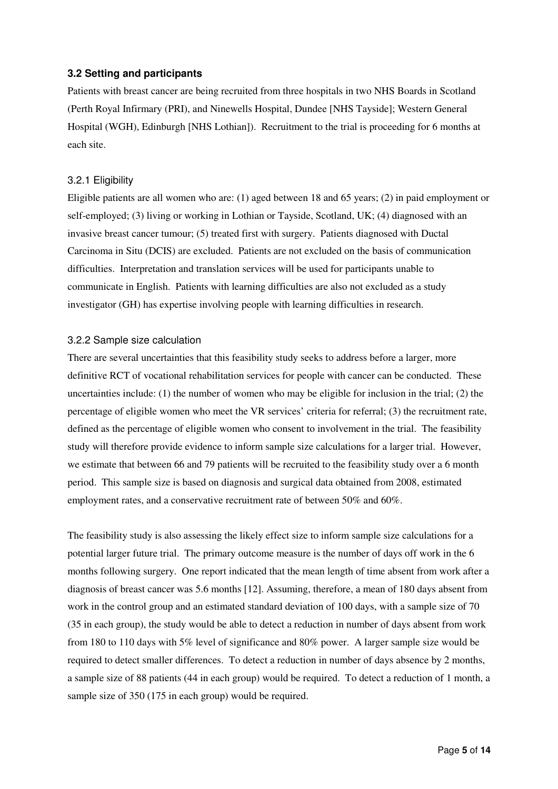### **3.2 Setting and participants**

Patients with breast cancer are being recruited from three hospitals in two NHS Boards in Scotland (Perth Royal Infirmary (PRI), and Ninewells Hospital, Dundee [NHS Tayside]; Western General Hospital (WGH), Edinburgh [NHS Lothian]). Recruitment to the trial is proceeding for 6 months at each site.

### 3.2.1 Eligibility

Eligible patients are all women who are: (1) aged between 18 and 65 years; (2) in paid employment or self-employed; (3) living or working in Lothian or Tayside, Scotland, UK; (4) diagnosed with an invasive breast cancer tumour; (5) treated first with surgery. Patients diagnosed with Ductal Carcinoma in Situ (DCIS) are excluded. Patients are not excluded on the basis of communication difficulties. Interpretation and translation services will be used for participants unable to communicate in English. Patients with learning difficulties are also not excluded as a study investigator (GH) has expertise involving people with learning difficulties in research.

#### 3.2.2 Sample size calculation

There are several uncertainties that this feasibility study seeks to address before a larger, more definitive RCT of vocational rehabilitation services for people with cancer can be conducted. These uncertainties include: (1) the number of women who may be eligible for inclusion in the trial; (2) the percentage of eligible women who meet the VR services' criteria for referral; (3) the recruitment rate, defined as the percentage of eligible women who consent to involvement in the trial. The feasibility study will therefore provide evidence to inform sample size calculations for a larger trial. However, we estimate that between 66 and 79 patients will be recruited to the feasibility study over a 6 month period. This sample size is based on diagnosis and surgical data obtained from 2008, estimated employment rates, and a conservative recruitment rate of between 50% and 60%.

The feasibility study is also assessing the likely effect size to inform sample size calculations for a potential larger future trial. The primary outcome measure is the number of days off work in the 6 months following surgery. One report indicated that the mean length of time absent from work after a diagnosis of breast cancer was 5.6 months [12]. Assuming, therefore, a mean of 180 days absent from work in the control group and an estimated standard deviation of 100 days, with a sample size of 70 (35 in each group), the study would be able to detect a reduction in number of days absent from work from 180 to 110 days with 5% level of significance and 80% power. A larger sample size would be required to detect smaller differences. To detect a reduction in number of days absence by 2 months, a sample size of 88 patients (44 in each group) would be required. To detect a reduction of 1 month, a sample size of 350 (175 in each group) would be required.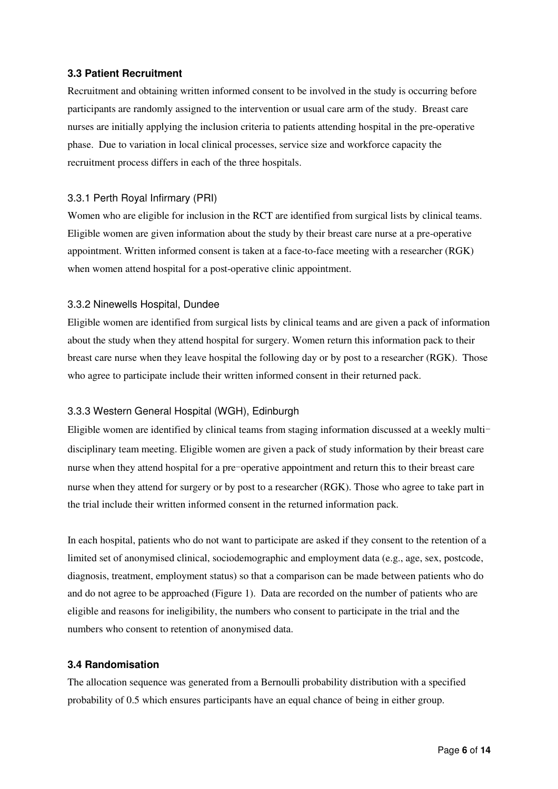### **3.3 Patient Recruitment**

Recruitment and obtaining written informed consent to be involved in the study is occurring before participants are randomly assigned to the intervention or usual care arm of the study. Breast care nurses are initially applying the inclusion criteria to patients attending hospital in the pre-operative phase. Due to variation in local clinical processes, service size and workforce capacity the recruitment process differs in each of the three hospitals.

### 3.3.1 Perth Royal Infirmary (PRI)

Women who are eligible for inclusion in the RCT are identified from surgical lists by clinical teams. Eligible women are given information about the study by their breast care nurse at a pre-operative appointment. Written informed consent is taken at a face-to-face meeting with a researcher (RGK) when women attend hospital for a post-operative clinic appointment.

### 3.3.2 Ninewells Hospital, Dundee

Eligible women are identified from surgical lists by clinical teams and are given a pack of information about the study when they attend hospital for surgery. Women return this information pack to their breast care nurse when they leave hospital the following day or by post to a researcher (RGK). Those who agree to participate include their written informed consent in their returned pack.

### 3.3.3 Western General Hospital (WGH), Edinburgh

Eligible women are identified by clinical teams from staging information discussed at a weekly multidisciplinary team meeting. Eligible women are given a pack of study information by their breast care nurse when they attend hospital for a pre-operative appointment and return this to their breast care nurse when they attend for surgery or by post to a researcher (RGK). Those who agree to take part in the trial include their written informed consent in the returned information pack.

In each hospital, patients who do not want to participate are asked if they consent to the retention of a limited set of anonymised clinical, sociodemographic and employment data (e.g., age, sex, postcode, diagnosis, treatment, employment status) so that a comparison can be made between patients who do and do not agree to be approached (Figure 1). Data are recorded on the number of patients who are eligible and reasons for ineligibility, the numbers who consent to participate in the trial and the numbers who consent to retention of anonymised data.

### **3.4 Randomisation**

The allocation sequence was generated from a Bernoulli probability distribution with a specified probability of 0.5 which ensures participants have an equal chance of being in either group.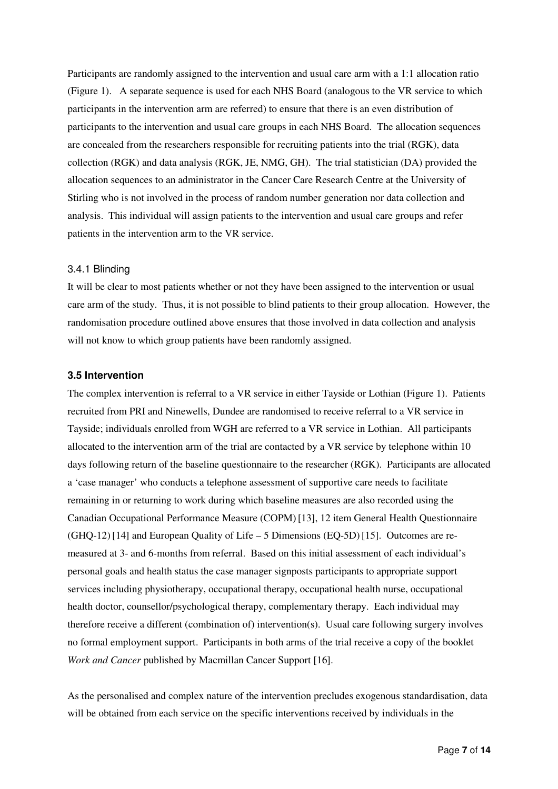Participants are randomly assigned to the intervention and usual care arm with a 1:1 allocation ratio (Figure 1). A separate sequence is used for each NHS Board (analogous to the VR service to which participants in the intervention arm are referred) to ensure that there is an even distribution of participants to the intervention and usual care groups in each NHS Board. The allocation sequences are concealed from the researchers responsible for recruiting patients into the trial (RGK), data collection (RGK) and data analysis (RGK, JE, NMG, GH). The trial statistician (DA) provided the allocation sequences to an administrator in the Cancer Care Research Centre at the University of Stirling who is not involved in the process of random number generation nor data collection and analysis. This individual will assign patients to the intervention and usual care groups and refer patients in the intervention arm to the VR service.

#### 3.4.1 Blinding

It will be clear to most patients whether or not they have been assigned to the intervention or usual care arm of the study. Thus, it is not possible to blind patients to their group allocation. However, the randomisation procedure outlined above ensures that those involved in data collection and analysis will not know to which group patients have been randomly assigned.

#### **3.5 Intervention**

The complex intervention is referral to a VR service in either Tayside or Lothian (Figure 1). Patients recruited from PRI and Ninewells, Dundee are randomised to receive referral to a VR service in Tayside; individuals enrolled from WGH are referred to a VR service in Lothian. All participants allocated to the intervention arm of the trial are contacted by a VR service by telephone within 10 days following return of the baseline questionnaire to the researcher (RGK). Participants are allocated a 'case manager' who conducts a telephone assessment of supportive care needs to facilitate remaining in or returning to work during which baseline measures are also recorded using the Canadian Occupational Performance Measure (COPM) [13], 12 item General Health Questionnaire (GHQ-12) [14] and European Quality of Life – 5 Dimensions (EQ-5D) [15]. Outcomes are remeasured at 3- and 6-months from referral. Based on this initial assessment of each individual's personal goals and health status the case manager signposts participants to appropriate support services including physiotherapy, occupational therapy, occupational health nurse, occupational health doctor, counsellor/psychological therapy, complementary therapy. Each individual may therefore receive a different (combination of) intervention(s). Usual care following surgery involves no formal employment support. Participants in both arms of the trial receive a copy of the booklet *Work and Cancer* published by Macmillan Cancer Support [16].

As the personalised and complex nature of the intervention precludes exogenous standardisation, data will be obtained from each service on the specific interventions received by individuals in the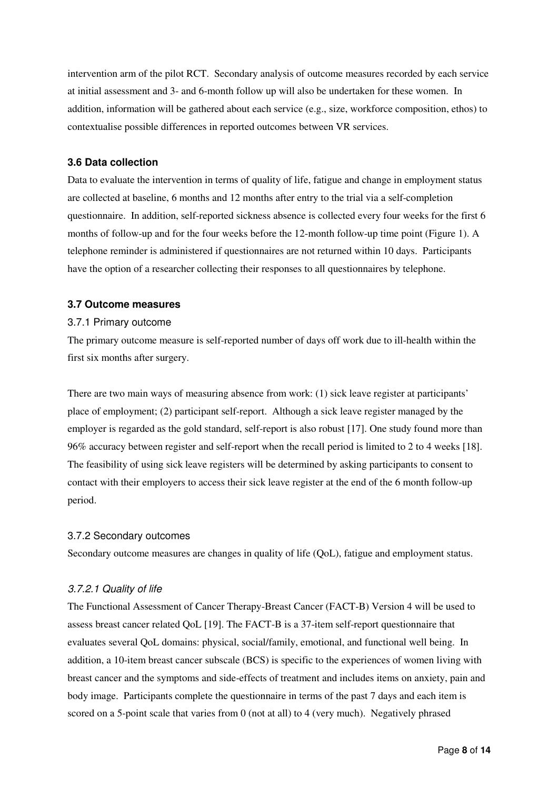intervention arm of the pilot RCT. Secondary analysis of outcome measures recorded by each service at initial assessment and 3- and 6-month follow up will also be undertaken for these women. In addition, information will be gathered about each service (e.g., size, workforce composition, ethos) to contextualise possible differences in reported outcomes between VR services.

### **3.6 Data collection**

Data to evaluate the intervention in terms of quality of life, fatigue and change in employment status are collected at baseline, 6 months and 12 months after entry to the trial via a self-completion questionnaire. In addition, self-reported sickness absence is collected every four weeks for the first 6 months of follow-up and for the four weeks before the 12-month follow-up time point (Figure 1). A telephone reminder is administered if questionnaires are not returned within 10 days. Participants have the option of a researcher collecting their responses to all questionnaires by telephone.

### **3.7 Outcome measures**

#### 3.7.1 Primary outcome

The primary outcome measure is self-reported number of days off work due to ill-health within the first six months after surgery.

There are two main ways of measuring absence from work: (1) sick leave register at participants' place of employment; (2) participant self-report. Although a sick leave register managed by the employer is regarded as the gold standard, self-report is also robust [17]. One study found more than 96% accuracy between register and self-report when the recall period is limited to 2 to 4 weeks [18]. The feasibility of using sick leave registers will be determined by asking participants to consent to contact with their employers to access their sick leave register at the end of the 6 month follow-up period.

#### 3.7.2 Secondary outcomes

Secondary outcome measures are changes in quality of life (QoL), fatigue and employment status.

### 3.7.2.1 Quality of life

The Functional Assessment of Cancer Therapy-Breast Cancer (FACT-B) Version 4 will be used to assess breast cancer related QoL [19]. The FACT-B is a 37-item self-report questionnaire that evaluates several QoL domains: physical, social/family, emotional, and functional well being. In addition, a 10-item breast cancer subscale (BCS) is specific to the experiences of women living with breast cancer and the symptoms and side-effects of treatment and includes items on anxiety, pain and body image. Participants complete the questionnaire in terms of the past 7 days and each item is scored on a 5-point scale that varies from 0 (not at all) to 4 (very much). Negatively phrased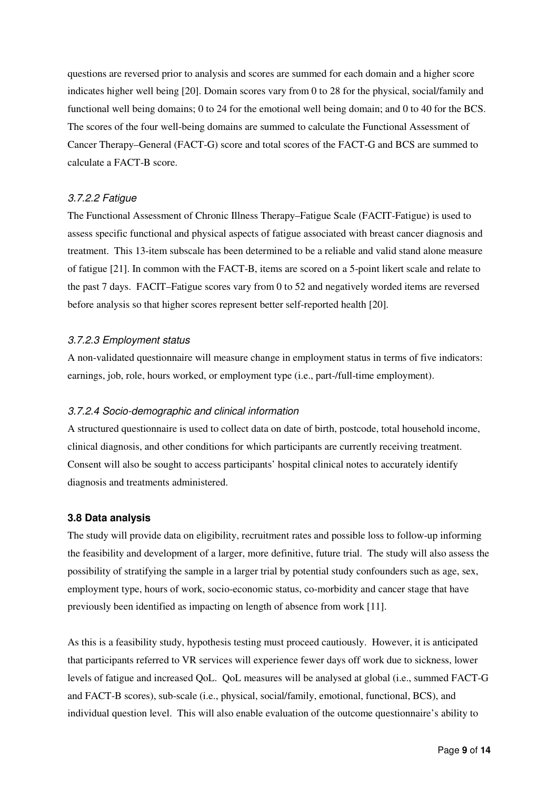questions are reversed prior to analysis and scores are summed for each domain and a higher score indicates higher well being [20]. Domain scores vary from 0 to 28 for the physical, social/family and functional well being domains; 0 to 24 for the emotional well being domain; and 0 to 40 for the BCS. The scores of the four well-being domains are summed to calculate the Functional Assessment of Cancer Therapy–General (FACT-G) score and total scores of the FACT-G and BCS are summed to calculate a FACT-B score.

### 3.7.2.2 Fatigue

The Functional Assessment of Chronic Illness Therapy–Fatigue Scale (FACIT-Fatigue) is used to assess specific functional and physical aspects of fatigue associated with breast cancer diagnosis and treatment. This 13-item subscale has been determined to be a reliable and valid stand alone measure of fatigue [21]. In common with the FACT-B, items are scored on a 5-point likert scale and relate to the past 7 days. FACIT–Fatigue scores vary from 0 to 52 and negatively worded items are reversed before analysis so that higher scores represent better self-reported health [20].

### 3.7.2.3 Employment status

A non-validated questionnaire will measure change in employment status in terms of five indicators: earnings, job, role, hours worked, or employment type (i.e., part-/full-time employment).

### 3.7.2.4 Socio-demographic and clinical information

A structured questionnaire is used to collect data on date of birth, postcode, total household income, clinical diagnosis, and other conditions for which participants are currently receiving treatment. Consent will also be sought to access participants' hospital clinical notes to accurately identify diagnosis and treatments administered.

### **3.8 Data analysis**

The study will provide data on eligibility, recruitment rates and possible loss to follow-up informing the feasibility and development of a larger, more definitive, future trial. The study will also assess the possibility of stratifying the sample in a larger trial by potential study confounders such as age, sex, employment type, hours of work, socio-economic status, co-morbidity and cancer stage that have previously been identified as impacting on length of absence from work [11].

As this is a feasibility study, hypothesis testing must proceed cautiously. However, it is anticipated that participants referred to VR services will experience fewer days off work due to sickness, lower levels of fatigue and increased QoL. QoL measures will be analysed at global (i.e., summed FACT-G and FACT-B scores), sub-scale (i.e., physical, social/family, emotional, functional, BCS), and individual question level. This will also enable evaluation of the outcome questionnaire's ability to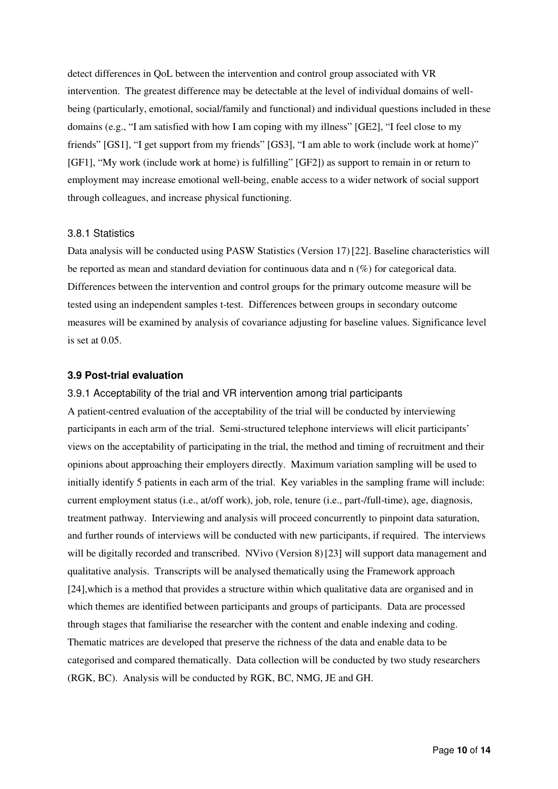detect differences in QoL between the intervention and control group associated with VR intervention. The greatest difference may be detectable at the level of individual domains of wellbeing (particularly, emotional, social/family and functional) and individual questions included in these domains (e.g., "I am satisfied with how I am coping with my illness" [GE2], "I feel close to my friends" [GS1], "I get support from my friends" [GS3], "I am able to work (include work at home)" [GF1], "My work (include work at home) is fulfilling" [GF2]) as support to remain in or return to employment may increase emotional well-being, enable access to a wider network of social support through colleagues, and increase physical functioning.

### 3.8.1 Statistics

Data analysis will be conducted using PASW Statistics (Version 17)[22]. Baseline characteristics will be reported as mean and standard deviation for continuous data and n (%) for categorical data. Differences between the intervention and control groups for the primary outcome measure will be tested using an independent samples t-test. Differences between groups in secondary outcome measures will be examined by analysis of covariance adjusting for baseline values. Significance level is set at 0.05.

#### **3.9 Post-trial evaluation**

#### 3.9.1 Acceptability of the trial and VR intervention among trial participants

A patient-centred evaluation of the acceptability of the trial will be conducted by interviewing participants in each arm of the trial. Semi-structured telephone interviews will elicit participants' views on the acceptability of participating in the trial, the method and timing of recruitment and their opinions about approaching their employers directly. Maximum variation sampling will be used to initially identify 5 patients in each arm of the trial. Key variables in the sampling frame will include: current employment status (i.e., at/off work), job, role, tenure (i.e., part-/full-time), age, diagnosis, treatment pathway. Interviewing and analysis will proceed concurrently to pinpoint data saturation, and further rounds of interviews will be conducted with new participants, if required. The interviews will be digitally recorded and transcribed. NVivo (Version 8)[23] will support data management and qualitative analysis. Transcripts will be analysed thematically using the Framework approach [24],which is a method that provides a structure within which qualitative data are organised and in which themes are identified between participants and groups of participants. Data are processed through stages that familiarise the researcher with the content and enable indexing and coding. Thematic matrices are developed that preserve the richness of the data and enable data to be categorised and compared thematically. Data collection will be conducted by two study researchers (RGK, BC). Analysis will be conducted by RGK, BC, NMG, JE and GH.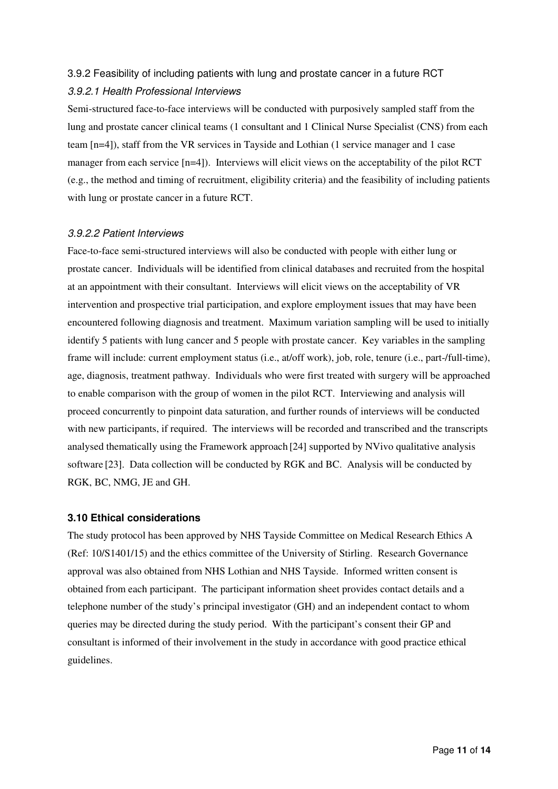# 3.9.2 Feasibility of including patients with lung and prostate cancer in a future RCT 3.9.2.1 Health Professional Interviews

Semi-structured face-to-face interviews will be conducted with purposively sampled staff from the lung and prostate cancer clinical teams (1 consultant and 1 Clinical Nurse Specialist (CNS) from each team [n=4]), staff from the VR services in Tayside and Lothian (1 service manager and 1 case manager from each service  $[n=4]$ ). Interviews will elicit views on the acceptability of the pilot RCT (e.g., the method and timing of recruitment, eligibility criteria) and the feasibility of including patients with lung or prostate cancer in a future RCT.

### 3.9.2.2 Patient Interviews

Face-to-face semi-structured interviews will also be conducted with people with either lung or prostate cancer. Individuals will be identified from clinical databases and recruited from the hospital at an appointment with their consultant. Interviews will elicit views on the acceptability of VR intervention and prospective trial participation, and explore employment issues that may have been encountered following diagnosis and treatment. Maximum variation sampling will be used to initially identify 5 patients with lung cancer and 5 people with prostate cancer. Key variables in the sampling frame will include: current employment status (i.e., at/off work), job, role, tenure (i.e., part-/full-time), age, diagnosis, treatment pathway. Individuals who were first treated with surgery will be approached to enable comparison with the group of women in the pilot RCT. Interviewing and analysis will proceed concurrently to pinpoint data saturation, and further rounds of interviews will be conducted with new participants, if required. The interviews will be recorded and transcribed and the transcripts analysed thematically using the Framework approach [24] supported by NVivo qualitative analysis software [23]. Data collection will be conducted by RGK and BC. Analysis will be conducted by RGK, BC, NMG, JE and GH.

### **3.10 Ethical considerations**

The study protocol has been approved by NHS Tayside Committee on Medical Research Ethics A (Ref: 10/S1401/15) and the ethics committee of the University of Stirling. Research Governance approval was also obtained from NHS Lothian and NHS Tayside. Informed written consent is obtained from each participant. The participant information sheet provides contact details and a telephone number of the study's principal investigator (GH) and an independent contact to whom queries may be directed during the study period. With the participant's consent their GP and consultant is informed of their involvement in the study in accordance with good practice ethical guidelines.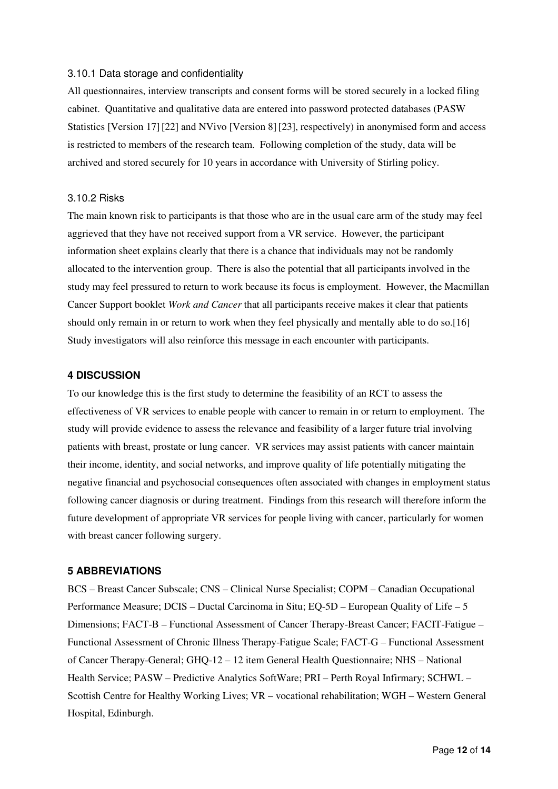#### 3.10.1 Data storage and confidentiality

All questionnaires, interview transcripts and consent forms will be stored securely in a locked filing cabinet. Quantitative and qualitative data are entered into password protected databases (PASW Statistics [Version 17][22] and NVivo [Version 8][23], respectively) in anonymised form and access is restricted to members of the research team. Following completion of the study, data will be archived and stored securely for 10 years in accordance with University of Stirling policy.

### 3.10.2 Risks

The main known risk to participants is that those who are in the usual care arm of the study may feel aggrieved that they have not received support from a VR service. However, the participant information sheet explains clearly that there is a chance that individuals may not be randomly allocated to the intervention group. There is also the potential that all participants involved in the study may feel pressured to return to work because its focus is employment. However, the Macmillan Cancer Support booklet *Work and Cancer* that all participants receive makes it clear that patients should only remain in or return to work when they feel physically and mentally able to do so.[16] Study investigators will also reinforce this message in each encounter with participants.

### **4 DISCUSSION**

To our knowledge this is the first study to determine the feasibility of an RCT to assess the effectiveness of VR services to enable people with cancer to remain in or return to employment. The study will provide evidence to assess the relevance and feasibility of a larger future trial involving patients with breast, prostate or lung cancer. VR services may assist patients with cancer maintain their income, identity, and social networks, and improve quality of life potentially mitigating the negative financial and psychosocial consequences often associated with changes in employment status following cancer diagnosis or during treatment. Findings from this research will therefore inform the future development of appropriate VR services for people living with cancer, particularly for women with breast cancer following surgery.

#### **5 ABBREVIATIONS**

BCS – Breast Cancer Subscale; CNS – Clinical Nurse Specialist; COPM – Canadian Occupational Performance Measure; DCIS – Ductal Carcinoma in Situ; EQ-5D – European Quality of Life – 5 Dimensions; FACT-B – Functional Assessment of Cancer Therapy-Breast Cancer; FACIT-Fatigue – Functional Assessment of Chronic Illness Therapy-Fatigue Scale; FACT-G – Functional Assessment of Cancer Therapy-General; GHQ-12 – 12 item General Health Questionnaire; NHS – National Health Service; PASW – Predictive Analytics SoftWare; PRI – Perth Royal Infirmary; SCHWL – Scottish Centre for Healthy Working Lives; VR – vocational rehabilitation; WGH – Western General Hospital, Edinburgh.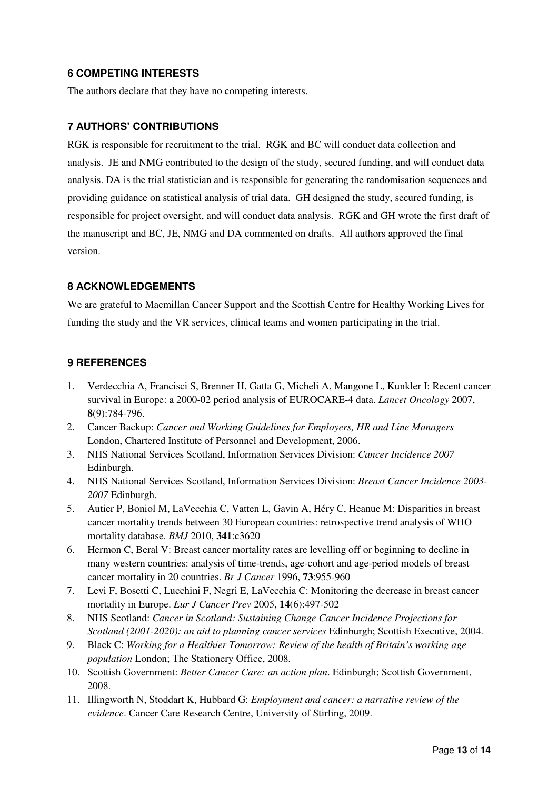### **6 COMPETING INTERESTS**

The authors declare that they have no competing interests.

### **7 AUTHORS' CONTRIBUTIONS**

RGK is responsible for recruitment to the trial. RGK and BC will conduct data collection and analysis. JE and NMG contributed to the design of the study, secured funding, and will conduct data analysis. DA is the trial statistician and is responsible for generating the randomisation sequences and providing guidance on statistical analysis of trial data. GH designed the study, secured funding, is responsible for project oversight, and will conduct data analysis. RGK and GH wrote the first draft of the manuscript and BC, JE, NMG and DA commented on drafts. All authors approved the final version.

### **8 ACKNOWLEDGEMENTS**

We are grateful to Macmillan Cancer Support and the Scottish Centre for Healthy Working Lives for funding the study and the VR services, clinical teams and women participating in the trial.

### **9 REFERENCES**

- 1. Verdecchia A, Francisci S, Brenner H, Gatta G, Micheli A, Mangone L, Kunkler I: Recent cancer survival in Europe: a 2000-02 period analysis of EUROCARE-4 data. *Lancet Oncology* 2007, **8**(9):784-796.
- 2. Cancer Backup: *Cancer and Working Guidelines for Employers, HR and Line Managers* London, Chartered Institute of Personnel and Development, 2006.
- 3. NHS National Services Scotland, Information Services Division: *Cancer Incidence 2007* Edinburgh.
- 4. NHS National Services Scotland, Information Services Division: *Breast Cancer Incidence 2003- 2007* Edinburgh.
- 5. Autier P, Boniol M, LaVecchia C, Vatten L, Gavin A, Héry C, Heanue M: Disparities in breast cancer mortality trends between 30 European countries: retrospective trend analysis of WHO mortality database. *BMJ* 2010, **341**:c3620
- 6. Hermon C, Beral V: Breast cancer mortality rates are levelling off or beginning to decline in many western countries: analysis of time-trends, age-cohort and age-period models of breast cancer mortality in 20 countries. *Br J Cancer* 1996, **73**:955-960
- 7. Levi F, Bosetti C, Lucchini F, Negri E, LaVecchia C: Monitoring the decrease in breast cancer mortality in Europe. *Eur J Cancer Prev* 2005, **14**(6):497-502
- 8. NHS Scotland: *Cancer in Scotland: Sustaining Change Cancer Incidence Projections for Scotland (2001-2020): an aid to planning cancer services* Edinburgh; Scottish Executive, 2004.
- 9. Black C: *Working for a Healthier Tomorrow: Review of the health of Britain's working age population* London; The Stationery Office, 2008.
- 10. Scottish Government: *Better Cancer Care: an action plan*. Edinburgh; Scottish Government, 2008.
- 11. Illingworth N, Stoddart K, Hubbard G: *Employment and cancer: a narrative review of the evidence*. Cancer Care Research Centre, University of Stirling, 2009.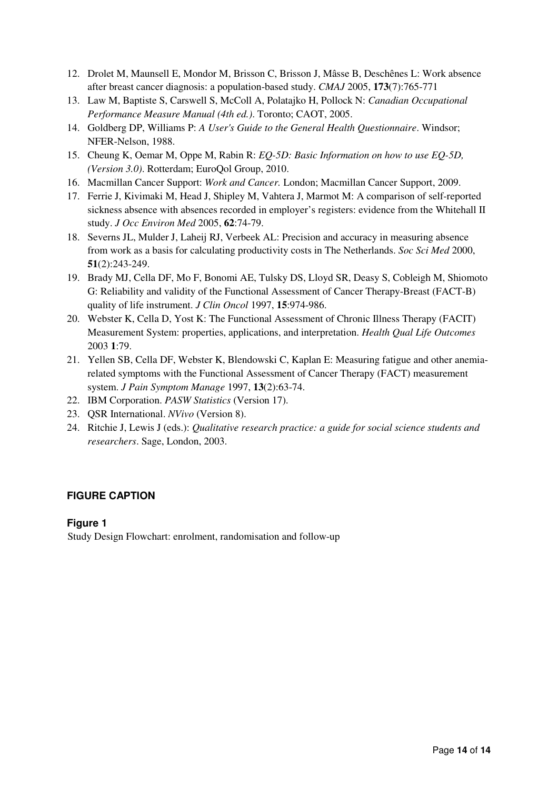- 12. Drolet M, Maunsell E, Mondor M, Brisson C, Brisson J, Mâsse B, Deschênes L: Work absence after breast cancer diagnosis: a population-based study. *CMAJ* 2005, **173**(7):765-771
- 13. Law M, Baptiste S, Carswell S, McColl A, Polatajko H, Pollock N: *Canadian Occupational Performance Measure Manual (4th ed.)*. Toronto; CAOT, 2005.
- 14. Goldberg DP, Williams P: *A User's Guide to the General Health Questionnaire*. Windsor; NFER-Nelson, 1988.
- 15. Cheung K, Oemar M, Oppe M, Rabin R: *EQ-5D: Basic Information on how to use EQ-5D, (Version 3.0)*. Rotterdam; EuroQol Group, 2010.
- 16. Macmillan Cancer Support: *Work and Cancer.* London; Macmillan Cancer Support, 2009.
- 17. Ferrie J, Kivimaki M, Head J, Shipley M, Vahtera J, Marmot M: A comparison of self-reported sickness absence with absences recorded in employer's registers: evidence from the Whitehall II study. *J Occ Environ Med* 2005, **62**:74-79.
- 18. Severns JL, Mulder J, Laheij RJ, Verbeek AL: Precision and accuracy in measuring absence from work as a basis for calculating productivity costs in The Netherlands. *Soc Sci Med* 2000, **51**(2):243-249.
- 19. Brady MJ, Cella DF, Mo F, Bonomi AE, Tulsky DS, Lloyd SR, Deasy S, Cobleigh M, Shiomoto G: Reliability and validity of the Functional Assessment of Cancer Therapy-Breast (FACT-B) quality of life instrument. *J Clin Oncol* 1997, **15**:974-986.
- 20. Webster K, Cella D, Yost K: The Functional Assessment of Chronic Illness Therapy (FACIT) Measurement System: properties, applications, and interpretation. *Health Qual Life Outcomes* 2003 **1**:79.
- 21. Yellen SB, Cella DF, Webster K, Blendowski C, Kaplan E: Measuring fatigue and other anemiarelated symptoms with the Functional Assessment of Cancer Therapy (FACT) measurement system. *J Pain Symptom Manage* 1997, **13**(2):63-74.
- 22. IBM Corporation. *PASW Statistics* (Version 17).
- 23. QSR International. *NVivo* (Version 8).
- 24. Ritchie J, Lewis J (eds.): *Qualitative research practice: a guide for social science students and researchers*. Sage, London, 2003.

## **FIGURE CAPTION**

## **Figure 1**

Study Design Flowchart: enrolment, randomisation and follow-up